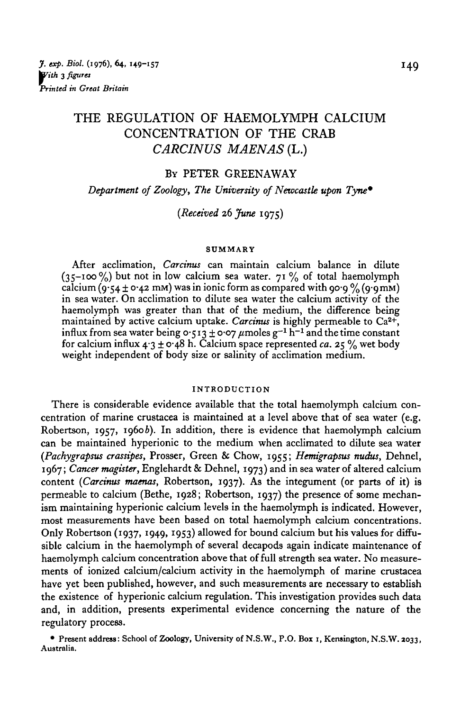# THE REGULATION OF HAEMOLYMPH CALCIUM CONCENTRATION OF THE CRAB *CARCINUS MAENAS* (L.)

### BY PETER GREENAWAY

*Department of Zoology, The University of Newcastle upon Tyne\**

## *{Received* 26 *June* 1975)

#### **SUMMARY**

After acclimation, *Carcinus* can maintain calcium balance in dilute  $(35-100\%)$  but not in low calcium sea water. 71% of total haemolymph calcium (9.54 ± 0.42 mM) was in ionic form as compared with 90.9 % (9.9 mM) in sea water. On acclimation to dilute sea water the calcium activity of the haemolymph was greater than that of the medium, the difference being maintained by active calcium uptake. Carcinus is highly permeable to Ca<sup>2+</sup>, influx from sea water being 0.513  $\pm$  0.07  $\mu$ moles g<sup>-1</sup> h<sup>-1</sup> and the time constant for calcium influx  $4.3 \pm 0.48$  h. Calcium space represented *ca.* 25 % wet body weight independent of body size or salinity of acclimation medium.

#### **INTRODUCTION**

There is considerable evidence available that the total haemolymph calcium concentration of marine crustacea is maintained at a level above that of sea water (e.g. Robertson, 1957, 19606). In addition, there is evidence that haemolymph calcium can be maintained hyperionic to the medium when acclimated to dilute sea water *(Pachygrapsus crassipes,* Prosser, Green & Chow, 1955; *Hemigrapsus nudus,* Dehnel, 1967; *Cancer magister,* Englehardt & Dehnel, 1973) and in sea water of altered calcium content *{Carcinus maenas,* Robertson, 1937). As the integument (or parts of it) is permeable to calcium (Bethe, 1928; Robertson, 1937) the presence of some mechanism maintaining hyperionic calcium levels in the haemolymph is indicated. However, most measurements have been based on total haemolymph calcium concentrations. Only Robertson (1937, 1949, 1953) allowed for bound calcium but his values for diffusible calcium in the haemolymph of several decapods again indicate maintenance of haemolymph calcium concentration above that of full strength sea water. No measurements of ionized calcium/calcium activity in the haemolymph of marine crustacea have yet been published, however, and such measurements are necessary to establish the existence of hyperionic calcium regulation. This investigation provides such data and, in addition, presents experimental evidence concerning the nature of the regulatory process.

**• Present address: School of Zoology, University of N.S.W., P.O. Box i, Kensington, N.S.W. 2033, Australia.**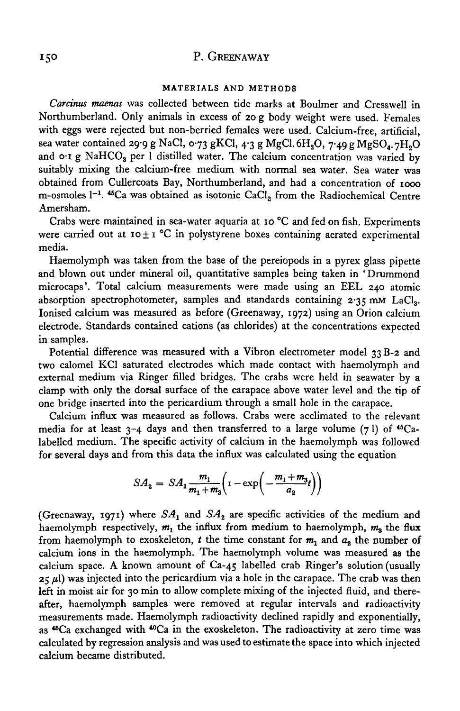#### **MATERIALS AND METHODS**

*Carcinus maenas* was collected between tide marks at Boulmer and Cresswell in Northumberland. Only animals in excess of 20 g body weight were used. Females with eggs were rejected but non-berried females were used. Calcium-free, artificial, sea water contained 29.9 g NaCl, 0.73 gKCl, 4.3 g MgCl,  $6H_2O$ , 7.49 g MgSO<sub>4</sub>, 7H<sub>2</sub>O and o<sub>'I</sub> g NaHCO<sub>s</sub> per 1 distilled water. The calcium concentration was varied by suitably mixing the calcium-free medium with normal sea water. Sea water was obtained from Cullercoats Bay, Northumberland, and had a concentration of 1000 m-osmoles  $1^{-1}$ . <sup>45</sup>Ca was obtained as isotonic CaCl<sub>2</sub> from the Radiochemical Centre Amersham.

Crabs were maintained in sea-water aquaria at 10 °C and fed on fish. Experiments were carried out at  $10 \pm 1$  °C in polystyrene boxes containing aerated experimental media.

Haemolymph was taken from the base of the pereiopods in a pyrex glass pipette and blown out under mineral oil, quantitative samples being taken in 'Drummond microcaps'. Total calcium measurements were made using an EEL 240 atomic absorption spectrophotometer, samples and standards containing  $2.35 \text{ mm } \text{LaCl}_3$ . Ionised calcium was measured as before (Greenaway, 1972) using an Orion calcium electrode. Standards contained cations (as chlorides) at the concentrations expected in samples.

Potential difference was measured with a Vibron electrometer model 33B-2 and two calomel KC1 saturated electrodes which made contact with haemolymph and external medium via Ringer filled bridges. The crabs were held in seawater by a clamp with only the dorsal surface of the carapace above water level and the tip of one bridge inserted into the pericardium through a small hole in the carapace.

Calcium influx was measured as follows. Crabs were acclimated to the relevant media for at least  $3-4$  days and then transferred to a large volume (71) of  $^{46}Ca$ labelled medium. The specific activity of calcium in the haemolymph was followed for several days and from this data the influx was calculated using the equation

$$
SA_{2} = SA_{1} \frac{m_{1}}{m_{1} + m_{3}} \left( 1 - \exp \left( - \frac{m_{1} + m_{3}}{a_{2}} t \right) \right)
$$

(Greenaway, 1971) where  $SA<sub>1</sub>$  and  $SA<sub>2</sub>$  are specific activities of the medium and haemolymph respectively,  $m_1$  the influx from medium to haemolymph,  $m_3$  the flux from haemolymph to exoskeleton,  $t$  the time constant for  $m_1$  and  $a_2$  the number of calcium ions in the haemolymph. The haemolymph volume was measured as the calcium space. A known amount of Ca-45 labelled crab Ringer's solution (usually  $25 \mu$ ) was injected into the pericardium via a hole in the carapace. The crab was then left in moist air for 30 min to allow complete mixing of the injected fluid, and thereafter, haemolymph samples were removed at regular intervals and radioactivity measurements made. Haemolymph radioactivity declined rapidly and exponentially, as <sup>45</sup>Ca exchanged with <sup>40</sup>Ca in the exoskeleton. The radioactivity at zero time was calculated by regression analysis and was used to estimate the space into which injected calcium became distributed.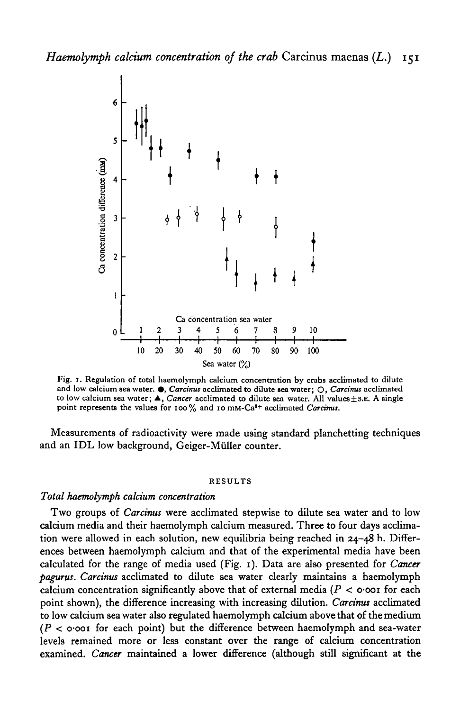

Fig. 1. Regulation of total haemolymph calcium concentration by crabs acclimated to dilute and low calcium sea water. •, *Carcimis* acclimated to dilute sea water; O, *Carcinus* acclimated to low calcium sea water; **△**, *Cancer* acclimated to dilute sea water. All values±s.E. A single point represents the values for 100% and 10 mm-Ca<sup>2+</sup> acclimated Carcinus.

Measurements of radioactivity were made using standard planchetting techniques and an IDL low background, Geiger-Müller counter.

#### RESULTS

#### *Total haemolymph calcium concentration*

Two groups of *Carcinus* were acclimated stepwise to dilute sea water and to low calcium media and their haemolymph calcium measured. Three to four days acclimation were allowed in each solution, new equilibria being reached in 24-48 h. Differences between haemolymph calcium and that of the experimental media have been calculated for the range of media used (Fig. 1). Data are also presented for *Cancer pagurus. Carcinus* acclimated to dilute sea water clearly maintains a haemolymph calcium concentration significantly above that of external media *(P <* o-ooi for each point shown), the difference increasing with increasing dilution. *Carcinus* acclimated to low calcium sea water also regulated haemolymph calcium above that of the medium *(P <* o-ooi for each point) but the difference between haemolymph and sea-water levels remained more or less constant over the range of calcium concentration examined. *Cancer* maintained a lower difference (although still significant at the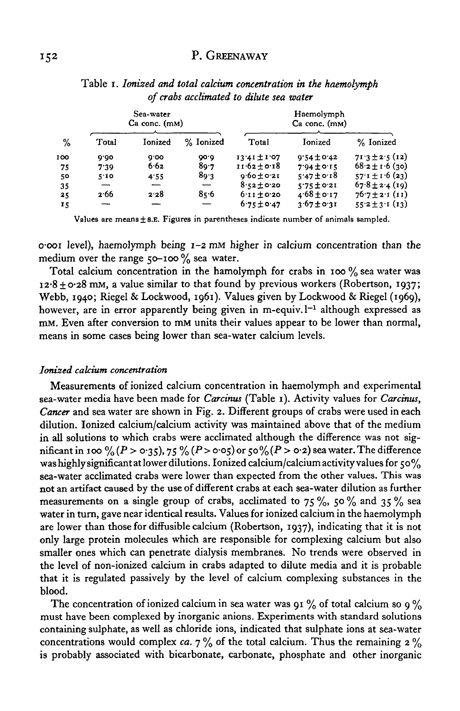|     | Sea-water<br>$Ca \text{ conc. } (mM)$ |         |           | Haemolymph<br>Ca conc. (mM) |                 |                     |
|-----|---------------------------------------|---------|-----------|-----------------------------|-----------------|---------------------|
| %   | Total                                 | Ionized | % Ionized | Total                       | Ionized         | % Ionized           |
| 100 | 0.00                                  | 0.00    | 00.0      | $13.41 \pm 1.07$            | $9.54 \pm 0.42$ | $71.3 \pm 2.5$ (12) |
| 75  | 7.39                                  | 6.62    | 80.7      | $11.62 \pm 0.18$            | $7.94 \pm 0.15$ | $68.2 \pm 1.6$ (30) |
| 50  | 5.10                                  | 4.55    | 89.3      | $9.60 \pm 0.21$             | $5.47 \pm 0.18$ | $57.1 \pm 1.6$ (23) |
| 35  | –                                     |         |           | $8.52 \pm 0.20$             | $5.75 \pm 0.21$ | $67.8 \pm 2.4(19)$  |
| 25  | 2.66                                  | 2.28    | 85.6      | $6.11 \pm 0.20$             | $4.68 \pm 0.17$ | $76.7 \pm 2.1$ (11) |
| 15  |                                       |         |           | $6.75 \pm 0.47$             | $3.67 \pm 0.31$ | $55.2 \pm 3.1(13)$  |

Table i. *Ionized and total calcium concentration in the haemolymph of crabs acclimated to dilute sea water*

Values are means  $\pm$  s.E. Figures in parentheses indicate number of animals sampled.

o-ooi level), haemolymph being 1-2 mM higher in calcium concentration than the medium over the range  $50$ -100 % sea water.

Total calcium concentration in the hamolymph for crabs in 100 % sea water was  $12.8 \pm 0.28$  mM, a value similar to that found by previous workers (Robertson, 1937; Webb, 1940; Riegel & Lockwood, 1961). Values given by Lockwood & Riegel (1969), however, are in error apparently being given in m-equiv. 1<sup>-1</sup> although expressed as mM. Even after conversion to mM units their values appear to be lower than normal, means in some cases being lower than sea-water calcium levels.

### *Ionized calcium concentration*

Measurements of ionized calcium concentration in haemolymph and experimental sea-water media have been made for *Carcinus* (Table 1). Activity values for *Cardnus, Cancer* and sea water are shown in Fig. 2. Different groups of crabs were used in each dilution. Ionized calcium/calcium activity was maintained above that of the medium in all solutions to which crabs were acclimated although the difference was not significant in 100 % (P > 0.35), 75 % (P > 0.05) or 50% (P > 0.2) sea water. The difference was highly significant at lower dilutions. Ionized calcium/calcium activity values for  $50\%$ sea-water acclimated crabs were lower than expected from the other values. This was not an artifact caused by the use of different crabs at each sea-water dilution as further measurements on a single group of crabs, acclimated to 75%, 50% and 35% sea water in turn, gave near identical results. Values for ionized calcium in the haemolymph are lower than those for diffusible calcium (Robertson, 1937), indicating that it is not only large protein molecules which are responsible for complexing calcium but also smaller ones which can penetrate dialysis membranes. No trends were observed in the level of non-ionized calcium in crabs adapted to dilute media and it is probable that it is regulated passively by the level of calcium complexing substances in the blood.

The concentration of ionized calcium in sea water was 91  $\%$  of total calcium so 9  $\%$ must have been complexed by inorganic anions. Experiments with standard solutions containing sulphate, as well as chloride ions, indicated that sulphate ions at sea-water concentrations would complex *ca.*  $7\%$  of the total calcium. Thus the remaining  $2\%$ is probably associated with bicarbonate, carbonate, phosphate and other inorganic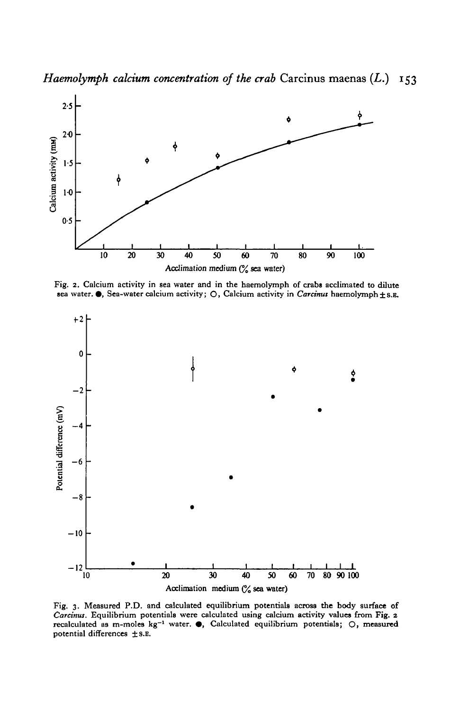*Haemolymph calcium concentration of the crab* Carcinus maenas (L.) 153



Fig. 2. Calcium activity in sea water and in the haemolymph of crabs acclimated to dilute sea water. 9, Sea-water calcium activity; O, Calcium activity in *Carcinus* haemolymph ±s.B.



Fig. 3. Measured P.D. and calculated equilibrium potentials across **the** body surface of *Carcinus.* Equilibrium potentials were calculated using calcium activity values from **Fig.** 2 recalculated as m-moles kg<sup>-1</sup> water.  $\bullet$ , Calculated equilibrium potentials; O, measured potential differences  $\pm$  s.E.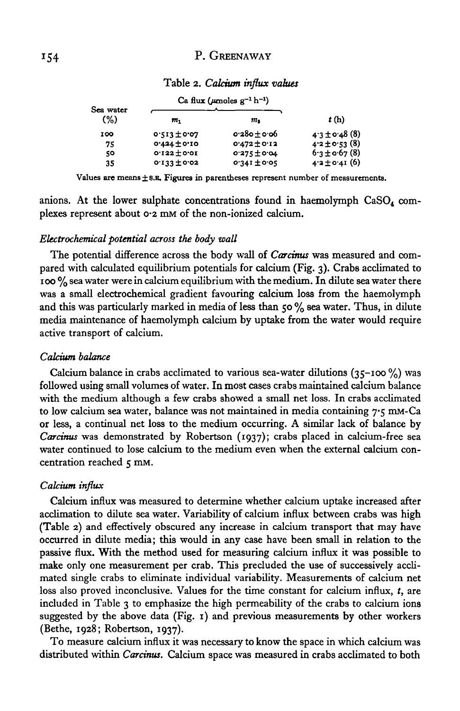|                  | Ca flux ( $\mu$ moles $g^{-1}$ h <sup>-1</sup> ) |                  |                   |
|------------------|--------------------------------------------------|------------------|-------------------|
| Sea water<br>(%) | т,                                               | $m_{\bf 1}$      | t(h)              |
| 100              | $0.513 \pm 0.02$                                 | $0.280 + 0.06$   | $4.3 \pm 0.48(8)$ |
| 75               | $0.434 + 0.10$                                   | $0.472 \pm 0.12$ | $4.2 \pm 0.53(8)$ |
| 50               | $0.122 \pm 0.01$                                 | $0.275 \pm 0.04$ | $6.3 \pm 0.67(8)$ |
| 35               | $0.133 + 0.02$                                   | $0.341 \pm 0.05$ | $4.2 \pm 0.41(6)$ |

#### Table 2. *Calcium influx values*

Values are means  $\pm$  s.g. Figures in parentheses represent number of measurements.

anions. At the lower sulphate concentrations found in haemolymph  $CaSO<sub>4</sub>$  complexes represent about 0-2 mM of the non-ionized calcium.

#### *Electrochemical potential across the body wall*

The potential difference across the body wall of *Carcinus* was measured and compared with calculated equilibrium potentials for calcium (Fig. 3). Crabs acclimated to 100 % sea water were in calcium equilibrium with the medium. In dilute sea water there was a small electrochemical gradient favouring calcium loss from the haemolymph and this was particularly marked in media of less than 50  $\%$  sea water. Thus, in dilute media maintenance of haemolymph calcium by uptake from the water would require active transport of calcium.

### *Calcium balance*

Calcium balance in crabs acclimated to various sea-water dilutions  $(35 - 100\%)$  was followed using small volumes of water. In most cases crabs maintained calcium balance with the medium although a few crabs showed a small net loss. In crabs acclimated to low calcium sea water, balance was not maintained in media containing 7.5 mm-Ca or less, a continual net loss to the medium occurring. A similar lack of balance by *Carcinus* was demonstrated by Robertson (1937); crabs placed in calcium-free sea water continued to lose calcium to the medium even when the external calcium concentration reached 5 mm.

#### *Calcium influx*

Calcium influx was measured to determine whether calcium uptake increased after acclimation to dilute sea water. Variability of calcium influx between crabs was high (Table 2) and effectively obscured any increase in calcium transport that may have occurred in dilute media; this would in any case have been small in relation to the passive flux. With the method used for measuring calcium influx it was possible to make only one measurement per crab. This precluded the use of successively acclimated single crabs to eliminate individual variability. Measurements of calcium net loss also proved inconclusive. Values for the time constant for calcium influx, *t,* are included in Table 3 to emphasize the high permeability of the crabs to calcium ions suggested by the above data (Fig. 1) and previous measurements by other workers (Bethe, 1928; Robertson, 1937).

To measure calcium influx it was necessary to know the space in which calcium was distributed within *Carcinus.* Calcium space was measured in crabs acclimated to both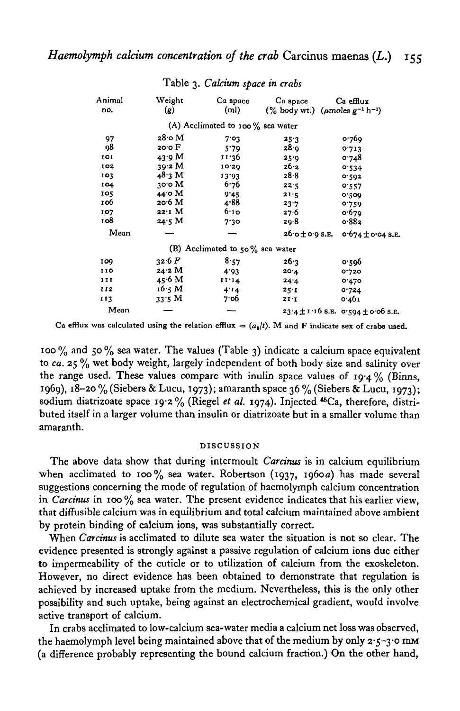| Animal<br>no. | Weight<br>(g)     | Ca space<br>(m)                      | Ca space<br>$(\%$ body wt.) ( <i>µmoles</i> $g^{-1}$ h <sup>-1</sup> ) | Ca efflux                                  |
|---------------|-------------------|--------------------------------------|------------------------------------------------------------------------|--------------------------------------------|
|               |                   |                                      |                                                                        |                                            |
|               |                   | (A) Acclimated to 100 $\%$ sea water |                                                                        |                                            |
| 97            | $28$ o M          | 7.03                                 | 25.3                                                                   | 0.769                                      |
| 98            | 20.0 F            | 5.79                                 | 28.9                                                                   | 0.713                                      |
| 101           | 43.9 M            | 11.36                                | 25.9                                                                   | 0.748                                      |
| 102           | 39.2 M            | 10.29                                | 26.2                                                                   | 0.534                                      |
| 103           | 48.3 M            | 13.93                                | 28.8                                                                   | 0.592                                      |
| 104           | 30.0 M            | 6.76                                 | 22.5                                                                   | 0.557                                      |
| 105           | 44.0 M            | 9'45                                 | 21.5                                                                   | 0.500                                      |
| 106           | 20.6 <sub>M</sub> | 4.88                                 | 23.7                                                                   | 0.759                                      |
| 107           | 22.1 M            | 6.10                                 | 27.6                                                                   | 0.679                                      |
| το8           | 24.5 M            | 7.30                                 | 20.8                                                                   | 0.882                                      |
| Mean          |                   |                                      | $26.0 \pm 0.9$ S.E.                                                    | o.674±o.04 s.E.                            |
|               |                   | (B) Acclimated to $50\%$ sea water   |                                                                        |                                            |
| 109           | 32.6 F            | 8.57                                 | 26.3                                                                   | 0.596                                      |
| 110           | 24.2 M            | 4.03                                 | 20.4                                                                   | 0.720                                      |
| 111           | 45.6 M            | 11.14                                | 24.4                                                                   | 0.470                                      |
| 112           | 16.5 M            | 4.14                                 | 25.1                                                                   | 0.724                                      |
| 113           | 33.5 M            | 7.06                                 | 21:1                                                                   | 0.461                                      |
| Mean          |                   |                                      |                                                                        | $23.4 \pm 1.16$ 8.E. 0.594 $\pm$ 0.06 S.E. |

Table 3. *Calcium space in crabs*

Ca efflux was calculated using the relation efflux  $=(a_i/t)$ . M and F indicate sex of crabs used.

100  $\%$  and 50  $\%$  sea water. The values (Table 3) indicate a calcium space equivalent to *ca.* 25 % wet body weight, largely independent of both body size and salinity over the range used. These values compare with inulin space values of  $19.4\%$  (Binns, 1969), 18-20 % (Siebers & Lucu, 1973); amaranth space 36 % (Siebers & Lucu, 1973); sodium diatrizoate space 19.2% (Riegel et al. 1974). Injected <sup>45</sup>Ca, therefore, distributed itself in a larger volume than insulin or diatrizoate but in a smaller volume than amaranth.

#### DISCUSSION

The above data show that during intermoult *Carcinus* is in calcium equilibrium when acclimated to 100% sea water. Robertson (1937, 1960a) has made several suggestions concerning the mode of regulation of haemolymph calcium concentration in *Carcinus* in 100 % sea water. The present evidence indicates that his earlier view, that diffusible calcium was in equilibrium and total calcium maintained above ambient by protein binding of calcium ions, was substantially correct.

When *Carcinus* is acclimated to dilute sea water the situation is not so clear. The evidence presented is strongly against a passive regulation of calcium ions due either to impermeability of the cuticle or to utilization of calcium from the exoskeleton. However, no direct evidence has been obtained to demonstrate that regulation is achieved by increased uptake from the medium. Nevertheless, this is the only other possibility and such uptake, being against an electrochemical gradient, would involve active transport of calcium.

In crabs acclimated to low-calcium sea-water media a calcium net loss was observed, the haemolymph level being maintained above that of the medium by only  $2.5-3.0$  mm (a difference probably representing the bound calcium fraction.) On the other hand,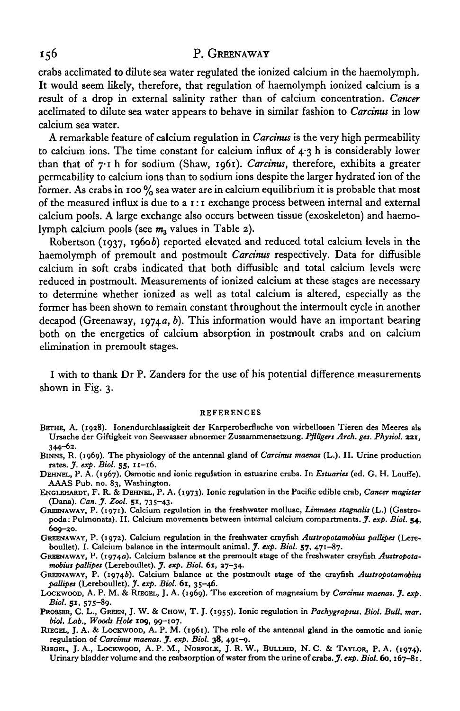crabs acclimated to dilute sea water regulated the ionized calcium in the haemolymph. It would seem likely, therefore, that regulation of haemolymph ionized calcium is a result of a drop in external salinity rather than of calcium concentration. *Cancer* acclimated to dilute sea water appears to behave in similar fashion to *Carcinus* in low calcium sea water.

A remarkable feature of calcium regulation in *Carcinus* is the very high permeability to calcium ions. The time constant for calcium influx of  $4.3$  h is considerably lower than that of 7-1 h for sodium (Shaw, 1961). *Carcinus,* therefore, exhibits a greater permeability to calcium ions than to sodium ions despite the larger hydrated ion of the former. As crabs in 100  $\%$  sea water are in calcium equilibrium it is probable that most of the measured influx is due to a  $i : i$  exchange process between internal and external calcium pools. A large exchange also occurs between tissue (exoskeleton) and haemolymph calcium pools (see  $m<sub>3</sub>$  values in Table 2).

Robertson (1937, 1960b) reported elevated and reduced total calcium levels in the haemolymph of premoult and postmoult *Carcinus* respectively. Data for diffusible calcium in soft crabs indicated that both diffusible and total calcium levels were reduced in postmoult. Measurements of ionized calcium at these stages are necessary to determine whether ionized as well as total calcium is altered, especially as the former has been shown to remain constant throughout the intermoult cycle in another decapod (Greenaway, 1974a, *b).* This information would have an important bearing both on the energetics of calcium absorption in postmoult crabs and on calcium elimination in premoult stages.

I with to thank Dr P. Zanders for the use of his potential difference measurements shown in Fig. 3.

#### **REFERENCES**

- **BETHE, A. (1928). Ionendurchlassigkeit der Karperoberflache von wirbellosen Tieren des Meeres als Ursache der Giftigkeit von Seewasser abnormer Zussammensetzung.** *Pflugers Arch. get. Physiol.* **aar, 344-02-**
- **BINNS, R. (1969). The physiology of the antennal gland of** *Carcinus mamas* **(L.). II. Urine production rates.** *J. exp. Biol.* **55, n-16 .**
- **DEHNEL, P. A. (1967). Osmotic and ionic regulation in estuarine crabs. In** *Estuaries* **(ed. G. H. Lauffe). AAAS Pub. no. 83, Washington.**
- **ENGLEHARDT, F. R. & DEHNEL, P. A. (1973). Ionic regulation in the Pacific edible crab,** *Cancer magister* **(Dana).** *Can. J. Zool.* **51, 735-43.**
- **GREENAWAY, P. (1971). Calcium regulation in the freshwater mollusc,** *Limnaea stagnalis* **(L.) (Gastro**poda: Pulmonata). II. Calcium movements between internal calcium compartments. *J. exp. Biol.* 54, **609-20.**
- **GREENAWAY, P. (1972). Calcium regulation in the freshwater crayfish** *Austropotamobius pallipes* **(Lereboullet). I. Calcium balance in the intermoult animal.** *J. exp. Biol.* **57, 471-87.**
- **GRBENAWAY, P. (19740). Calcium balance at the premoult stage of the freshwater crayfish** *Austropotamobius pallipes* **(Lereboullet).** *J. exp. Biol.* **61, 37-34.**
- **GREENAWAY, P. (19746). Calcium balance at the postmoult stage of the crayfish** *Austropotamobius pallipes* **(Lereboullet).** *J. exp. Biol.* **61, 35-46.**
- **LOCKWOOD, A. P. M. & RIEGEL, J. A. (1969). The excretion of magnesium by** *Carcinus maenas. J. exp. Biol.* **51, 575-89-**
- **PROSSER, C. L., GREEN, J. W. & CHOW, T. J. (1955). Ionic regulation in** *Pachygrapsus. Biol. Bull. mar. biol. Lab., Woods Hole* **109, 99-107.**
- **RIEGEL, J. A. & LOCKWOOD, A. P. M. (1961). The role of the antennal gland in the osmotic and ionic regulation of** *Carcinus maenas. J. exp. Biol.* **38, 491-9.**
- **RIEGEL, J. A., LOCKWOOD, A. P. M.( NORFOLK, J. R. W., BULLETD, N. C. & TAYLOR, P. A. (1974). Urinary bladder volume and the reabaorption of water from the urine of crabs.** *J. exp. Biol.* **60,167—81.**